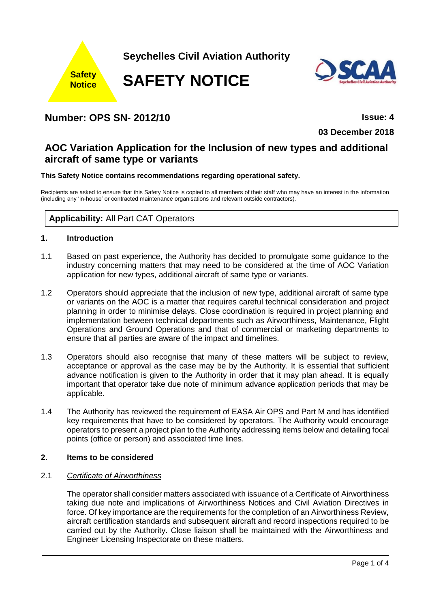

**Seychelles Civil Aviation Authority**

**SAFETY NOTICE**



## **Number: OPS SN- 2012/10 Issue: 4**

**03 December 2018**

# **AOC Variation Application for the Inclusion of new types and additional aircraft of same type or variants**

## **This Safety Notice contains recommendations regarding operational safety.**

Recipients are asked to ensure that this Safety Notice is copied to all members of their staff who may have an interest in the information (including any 'in-house' or contracted maintenance organisations and relevant outside contractors).

## **Applicability:** All Part CAT Operators

## **1. Introduction**

- 1.1 Based on past experience, the Authority has decided to promulgate some guidance to the industry concerning matters that may need to be considered at the time of AOC Variation application for new types, additional aircraft of same type or variants.
- 1.2 Operators should appreciate that the inclusion of new type, additional aircraft of same type or variants on the AOC is a matter that requires careful technical consideration and project planning in order to minimise delays. Close coordination is required in project planning and implementation between technical departments such as Airworthiness, Maintenance, Flight Operations and Ground Operations and that of commercial or marketing departments to ensure that all parties are aware of the impact and timelines.
- 1.3 Operators should also recognise that many of these matters will be subject to review, acceptance or approval as the case may be by the Authority. It is essential that sufficient advance notification is given to the Authority in order that it may plan ahead. It is equally important that operator take due note of minimum advance application periods that may be applicable.
- 1.4 The Authority has reviewed the requirement of EASA Air OPS and Part M and has identified key requirements that have to be considered by operators. The Authority would encourage operators to present a project plan to the Authority addressing items below and detailing focal points (office or person) and associated time lines.

#### **2. Items to be considered**

## 2.1 *Certificate of Airworthiness*

The operator shall consider matters associated with issuance of a Certificate of Airworthiness taking due note and implications of Airworthiness Notices and Civil Aviation Directives in force. Of key importance are the requirements for the completion of an Airworthiness Review, aircraft certification standards and subsequent aircraft and record inspections required to be carried out by the Authority. Close liaison shall be maintained with the Airworthiness and Engineer Licensing Inspectorate on these matters.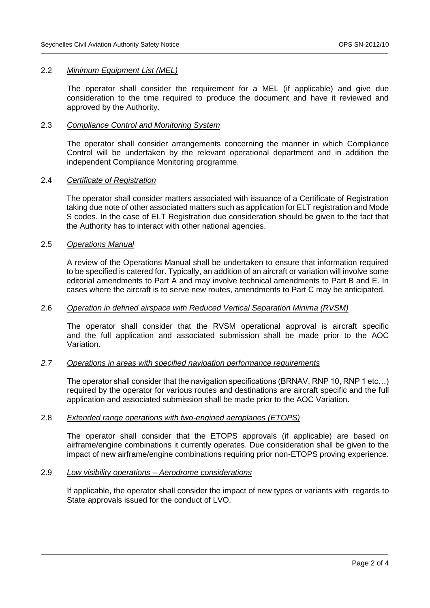#### 2.2 *Minimum Equipment List (MEL)*

The operator shall consider the requirement for a MEL (if applicable) and give due consideration to the time required to produce the document and have it reviewed and approved by the Authority.

#### 2.3 *Compliance Control and Monitoring System*

The operator shall consider arrangements concerning the manner in which Compliance Control will be undertaken by the relevant operational department and in addition the independent Compliance Monitoring programme.

#### 2.4 *Certificate of Registration*

The operator shall consider matters associated with issuance of a Certificate of Registration taking due note of other associated matters such as application for ELT registration and Mode S codes. In the case of ELT Registration due consideration should be given to the fact that the Authority has to interact with other national agencies.

#### 2.5 *Operations Manual*

A review of the Operations Manual shall be undertaken to ensure that information required to be specified is catered for. Typically, an addition of an aircraft or variation will involve some editorial amendments to Part A and may involve technical amendments to Part B and E. In cases where the aircraft is to serve new routes, amendments to Part C may be anticipated.

#### 2.6 *Operation in defined airspace with Reduced Vertical Separation Minima (RVSM)*

The operator shall consider that the RVSM operational approval is aircraft specific and the full application and associated submission shall be made prior to the AOC Variation.

#### *2.7 Operations in areas with specified navigation performance requirements*

The operator shall consider that the navigation specifications (BRNAV, RNP 10, RNP 1 etc…) required by the operator for various routes and destinations are aircraft specific and the full application and associated submission shall be made prior to the AOC Variation.

### 2.8 *Extended range operations with two-engined aeroplanes (ETOPS)*

The operator shall consider that the ETOPS approvals (if applicable) are based on airframe/engine combinations it currently operates. Due consideration shall be given to the impact of new airframe/engine combinations requiring prior non-ETOPS proving experience.

#### 2.9 *Low visibility operations – Aerodrome considerations*

If applicable, the operator shall consider the impact of new types or variants with regards to State approvals issued for the conduct of LVO.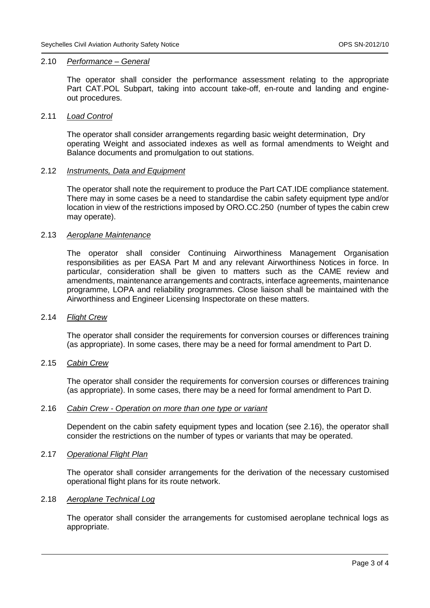#### 2.10 *Performance – General*

The operator shall consider the performance assessment relating to the appropriate Part CAT.POL Subpart, taking into account take-off, en-route and landing and engineout procedures.

#### 2.11 *Load Control*

The operator shall consider arrangements regarding basic weight determination, Dry operating Weight and associated indexes as well as formal amendments to Weight and Balance documents and promulgation to out stations.

#### 2.12 *Instruments, Data and Equipment*

The operator shall note the requirement to produce the Part CAT.IDE compliance statement. There may in some cases be a need to standardise the cabin safety equipment type and/or location in view of the restrictions imposed by ORO.CC.250 (number of types the cabin crew may operate).

#### 2.13 *Aeroplane Maintenance*

The operator shall consider Continuing Airworthiness Management Organisation responsibilities as per EASA Part M and any relevant Airworthiness Notices in force. In particular, consideration shall be given to matters such as the CAME review and amendments, maintenance arrangements and contracts, interface agreements, maintenance programme, LOPA and reliability programmes. Close liaison shall be maintained with the Airworthiness and Engineer Licensing Inspectorate on these matters.

#### 2.14 *Flight Crew*

The operator shall consider the requirements for conversion courses or differences training (as appropriate). In some cases, there may be a need for formal amendment to Part D.

#### 2.15 *Cabin Crew*

The operator shall consider the requirements for conversion courses or differences training (as appropriate). In some cases, there may be a need for formal amendment to Part D.

#### 2.16 *Cabin Crew - Operation on more than one type or variant*

Dependent on the cabin safety equipment types and location (see 2.16), the operator shall consider the restrictions on the number of types or variants that may be operated.

#### 2.17 *Operational Flight Plan*

The operator shall consider arrangements for the derivation of the necessary customised operational flight plans for its route network.

#### 2.18 *Aeroplane Technical Log*

The operator shall consider the arrangements for customised aeroplane technical logs as appropriate.